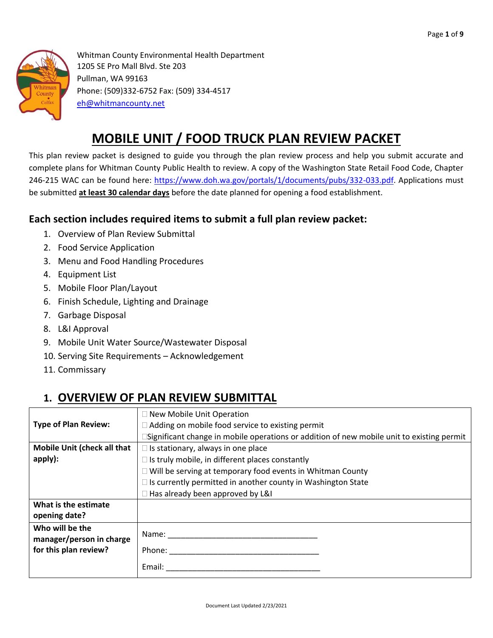

Whitman County Environmental Health Department 1205 SE Pro Mall Blvd. Ste 203 Pullman, WA 99163 Phone: (509)332-6752 Fax: (509) 334-4517 [eh@whitmancounty.net](mailto:eh@whitmancounty.net)

# **MOBILE UNIT / FOOD TRUCK PLAN REVIEW PACKET**

This plan review packet is designed to guide you through the plan review process and help you submit accurate and complete plans for Whitman County Public Health to review. A copy of the Washington State Retail Food Code, Chapter 246-215 WAC can be found here: [https://www.doh.wa.gov/portals/1/documents/pubs/332-033.pdf.](https://www.doh.wa.gov/portals/1/documents/pubs/332-033.pdf) Applications must be submitted **at least 30 calendar days** before the date planned for opening a food establishment.

#### **Each section includes required items to submit a full plan review packet:**

- 1. Overview of Plan Review Submittal
- 2. Food Service Application
- 3. Menu and Food Handling Procedures
- 4. Equipment List
- 5. Mobile Floor Plan/Layout
- 6. Finish Schedule, Lighting and Drainage
- 7. Garbage Disposal
- 8. L&I Approval
- 9. Mobile Unit Water Source/Wastewater Disposal
- 10. Serving Site Requirements Acknowledgement
- 11. Commissary

## **1. OVERVIEW OF PLAN REVIEW SUBMITTAL**

|                             | □ New Mobile Unit Operation                                                               |
|-----------------------------|-------------------------------------------------------------------------------------------|
| <b>Type of Plan Review:</b> | $\Box$ Adding on mobile food service to existing permit                                   |
|                             |                                                                                           |
|                             | Significant change in mobile operations or addition of new mobile unit to existing permit |
| Mobile Unit (check all that | $\Box$ Is stationary, always in one place                                                 |
| apply):                     | $\Box$ Is truly mobile, in different places constantly                                    |
|                             | □ Will be serving at temporary food events in Whitman County                              |
|                             | $\Box$ Is currently permitted in another county in Washington State                       |
|                             | □ Has already been approved by L&I                                                        |
| What is the estimate        |                                                                                           |
| opening date?               |                                                                                           |
| Who will be the             |                                                                                           |
| manager/person in charge    | Name:                                                                                     |
| for this plan review?       | Phone:                                                                                    |
|                             | Email:                                                                                    |
|                             |                                                                                           |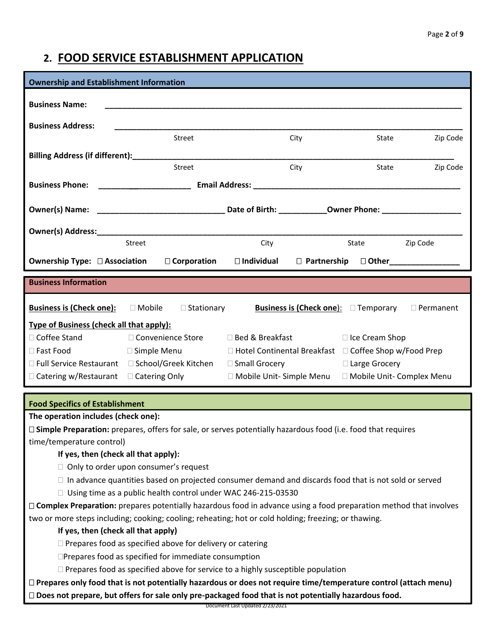## **2. FOOD SERVICE ESTABLISHMENT APPLICATION**

| <b>Ownership and Establishment Information</b>                    |                                                                                                                |                                                                                                               |                                                   |                  |
|-------------------------------------------------------------------|----------------------------------------------------------------------------------------------------------------|---------------------------------------------------------------------------------------------------------------|---------------------------------------------------|------------------|
| <b>Business Name:</b>                                             |                                                                                                                |                                                                                                               |                                                   |                  |
|                                                                   |                                                                                                                |                                                                                                               |                                                   |                  |
| <b>Business Address:</b>                                          |                                                                                                                |                                                                                                               |                                                   |                  |
|                                                                   | Street                                                                                                         | City                                                                                                          | State                                             | Zip Code         |
|                                                                   |                                                                                                                |                                                                                                               |                                                   |                  |
|                                                                   | Street                                                                                                         | City                                                                                                          | State                                             | Zip Code         |
| <b>Business Phone:</b>                                            |                                                                                                                | Email Address: North and Second Communications of the Communication of the Communication of the Communication |                                                   |                  |
|                                                                   |                                                                                                                |                                                                                                               |                                                   |                  |
|                                                                   |                                                                                                                |                                                                                                               |                                                   |                  |
|                                                                   |                                                                                                                |                                                                                                               |                                                   |                  |
|                                                                   | Street                                                                                                         | City                                                                                                          | State                                             | Zip Code         |
| <b>Ownership Type: □ Association</b>                              | □ Corporation                                                                                                  |                                                                                                               | $\Box$ Individual $\Box$ Partnership $\Box$ Other |                  |
|                                                                   |                                                                                                                |                                                                                                               |                                                   |                  |
| <b>Business Information</b>                                       |                                                                                                                |                                                                                                               |                                                   |                  |
| <b>Business is (Check one):</b>                                   | $\square$ Mobile<br>$\Box$ Stationary                                                                          |                                                                                                               | <b>Business is (Check one):</b> $\Box$ Temporary  | $\Box$ Permanent |
| <b>Type of Business (check all that apply):</b>                   |                                                                                                                |                                                                                                               |                                                   |                  |
| □ Coffee Stand                                                    |                                                                                                                |                                                                                                               |                                                   |                  |
|                                                                   | □ Convenience Store                                                                                            | □ Bed & Breakfast                                                                                             | □ Ice Cream Shop                                  |                  |
| □ Fast Food                                                       | □ Simple Menu                                                                                                  | □ Hotel Continental Breakfast □ Coffee Shop w/Food Prep                                                       |                                                   |                  |
|                                                                   | □ Full Service Restaurant □ School/Greek Kitchen                                                               | □ Small Grocery                                                                                               | □ Large Grocery                                   |                  |
| $\Box$ Catering w/Restaurant $\Box$ Catering Only                 |                                                                                                                | □ Mobile Unit- Simple Menu □ Mobile Unit- Complex Menu                                                        |                                                   |                  |
|                                                                   |                                                                                                                |                                                                                                               |                                                   |                  |
| <b>Food Specifics of Establishment</b>                            |                                                                                                                |                                                                                                               |                                                   |                  |
| The operation includes (check one):                               |                                                                                                                |                                                                                                               |                                                   |                  |
|                                                                   | □ Simple Preparation: prepares, offers for sale, or serves potentially hazardous food (i.e. food that requires |                                                                                                               |                                                   |                  |
| time/temperature control)<br>If yes, then (check all that apply): |                                                                                                                |                                                                                                               |                                                   |                  |

- $\Box$  In advance quantities based on projected consumer demand and discards food that is not sold or served
- $\Box$  Using time as a public health control under WAC 246-215-03530

 **Complex Preparation:** prepares potentially hazardous food in advance using a food preparation method that involves two or more steps including; cooking; cooling; reheating; hot or cold holding; freezing; or thawing.

#### **If yes, then (check all that apply)**

 $\Box$  Prepares food as specified above for delivery or catering

Prepares food as specified for immediate consumption

 $\Box$  Prepares food as specified above for service to a highly susceptible population

 **Prepares only food that is not potentially hazardous or does not require time/temperature control (attach menu) Does not prepare, but offers for sale only pre-packaged food that is not potentially hazardous food.** 

Document Last Updated 2/23/2021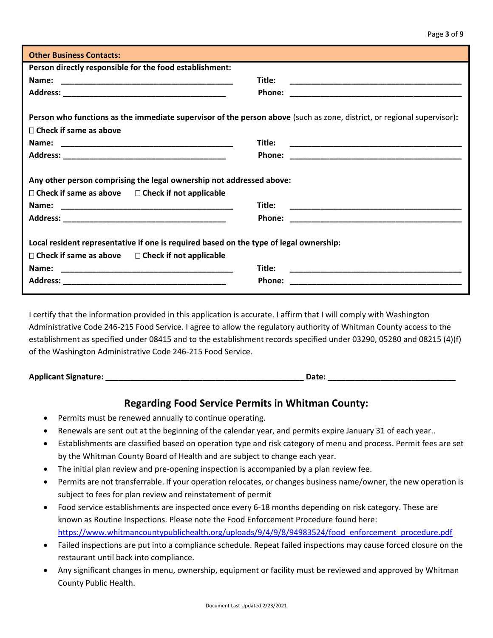| <b>Other Business Contacts:</b>                                                                                                                                 |                                                                                                                                 |
|-----------------------------------------------------------------------------------------------------------------------------------------------------------------|---------------------------------------------------------------------------------------------------------------------------------|
| Person directly responsible for the food establishment:                                                                                                         |                                                                                                                                 |
| Name:                                                                                                                                                           | Title:                                                                                                                          |
|                                                                                                                                                                 | Phone:                                                                                                                          |
|                                                                                                                                                                 |                                                                                                                                 |
| Person who functions as the immediate supervisor of the person above (such as zone, district, or regional supervisor):                                          |                                                                                                                                 |
| $\Box$ Check if same as above                                                                                                                                   |                                                                                                                                 |
|                                                                                                                                                                 | Title:                                                                                                                          |
|                                                                                                                                                                 |                                                                                                                                 |
| Any other person comprising the legal ownership not addressed above:<br>$\Box$ Check if same as above $\Box$ Check if not applicable                            |                                                                                                                                 |
|                                                                                                                                                                 | Title:                                                                                                                          |
|                                                                                                                                                                 | Phone:<br><u> 1989 - Johann Harry Harry Harry Harry Harry Harry Harry Harry Harry Harry Harry Harry Harry Harry Harry Harry</u> |
| Local resident representative if one is required based on the type of legal ownership:<br>$\Box$ Check if same as above $\Box$ Check if not applicable<br>Name: | Title:<br>the control of the control of the control of the control of the control of the control of<br>Phone:                   |

I certify that the information provided in this application is accurate. I affirm that I will comply with Washington Administrative Code 246-215 Food Service. I agree to allow the regulatory authority of Whitman County access to the establishment as specified under 08415 and to the establishment records specified under 03290, 05280 and 08215 (4)(f) of the Washington Administrative Code 246-215 Food Service.

**Applicant Signature: \_\_\_\_\_\_\_\_\_\_\_\_\_\_\_\_\_\_\_\_\_\_\_\_\_\_\_\_\_\_\_\_\_\_\_\_\_\_\_\_\_\_\_\_\_ Date: \_\_\_\_\_\_\_\_\_\_\_\_\_\_\_\_\_\_\_\_\_\_\_\_\_\_\_\_\_**

#### **Regarding Food Service Permits in Whitman County:**

- Permits must be renewed annually to continue operating.
- Renewals are sent out at the beginning of the calendar year, and permits expire January 31 of each year..
- Establishments are classified based on operation type and risk category of menu and process. Permit fees are set by the Whitman County Board of Health and are subject to change each year.
- The initial plan review and pre-opening inspection is accompanied by a plan review fee.
- Permits are not transferrable. If your operation relocates, or changes business name/owner, the new operation is subject to fees for plan review and reinstatement of permit
- Food service establishments are inspected once every 6-18 months depending on risk category. These are known as Routine Inspections. Please note the Food Enforcement Procedure found here: [https://www.whitmancountypublichealth.org/uploads/9/4/9/8/94983524/food\\_enforcement\\_procedure.pdf](https://www.whitmancountypublichealth.org/uploads/9/4/9/8/94983524/food_enforcement_procedure.pdf)
- Failed inspections are put into a compliance schedule. Repeat failed inspections may cause forced closure on the restaurant until back into compliance.
- Any significant changes in menu, ownership, equipment or facility must be reviewed and approved by Whitman County Public Health.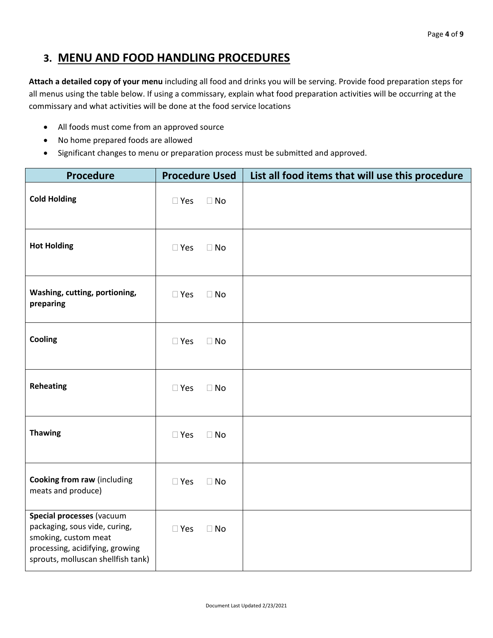#### **3. MENU AND FOOD HANDLING PROCEDURES**

**Attach a detailed copy of your menu** including all food and drinks you will be serving. Provide food preparation steps for all menus using the table below. If using a commissary, explain what food preparation activities will be occurring at the commissary and what activities will be done at the food service locations

- All foods must come from an approved source
- No home prepared foods are allowed
- Significant changes to menu or preparation process must be submitted and approved.

| <b>Procedure</b>                                                                                                                                            | <b>Procedure Used</b>      | List all food items that will use this procedure |
|-------------------------------------------------------------------------------------------------------------------------------------------------------------|----------------------------|--------------------------------------------------|
| <b>Cold Holding</b>                                                                                                                                         | $\square$ Yes<br>$\Box$ No |                                                  |
| <b>Hot Holding</b>                                                                                                                                          | $\square$ Yes<br>$\Box$ No |                                                  |
| Washing, cutting, portioning,<br>preparing                                                                                                                  | $\square$ Yes<br>$\Box$ No |                                                  |
| Cooling                                                                                                                                                     | $\square$ Yes<br>$\Box$ No |                                                  |
| <b>Reheating</b>                                                                                                                                            | $\square$ Yes<br>$\Box$ No |                                                  |
| <b>Thawing</b>                                                                                                                                              | $\square$ Yes<br>$\Box$ No |                                                  |
| <b>Cooking from raw (including</b><br>meats and produce)                                                                                                    | $\square$ Yes<br>$\Box$ No |                                                  |
| Special processes (vacuum<br>packaging, sous vide, curing,<br>smoking, custom meat<br>processing, acidifying, growing<br>sprouts, molluscan shellfish tank) | $\square$ Yes<br>$\Box$ No |                                                  |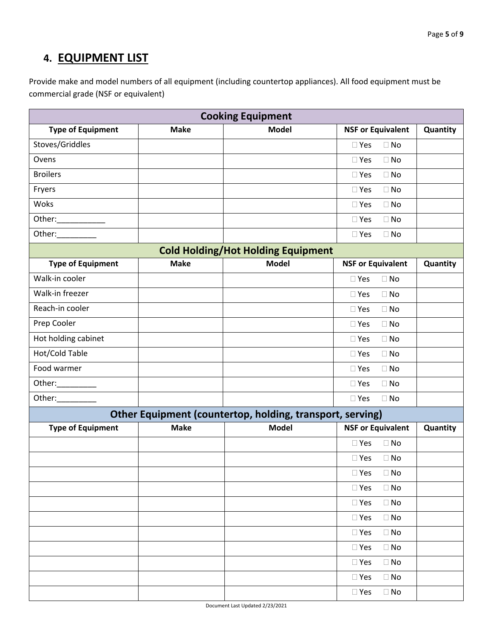## **4. EQUIPMENT LIST**

Provide make and model numbers of all equipment (including countertop appliances). All food equipment must be commercial grade (NSF or equivalent)

| <b>Cooking Equipment</b> |             |                                                           |                            |          |
|--------------------------|-------------|-----------------------------------------------------------|----------------------------|----------|
| <b>Type of Equipment</b> | <b>Make</b> | <b>Model</b>                                              | <b>NSF or Equivalent</b>   | Quantity |
| Stoves/Griddles          |             |                                                           | $\Box$ No<br>$\square$ Yes |          |
| Ovens                    |             |                                                           | $\Box$ No<br>$\square$ Yes |          |
| <b>Broilers</b>          |             |                                                           | $\Box$ No<br>$\square$ Yes |          |
| Fryers                   |             |                                                           | $\Box$ No<br>$\square$ Yes |          |
| Woks                     |             |                                                           | $\square$ Yes<br>$\Box$ No |          |
| Other:______________     |             |                                                           | $\Box$ No<br>$\square$ Yes |          |
| Other:__________         |             |                                                           | $\Box$ No<br>$\square$ Yes |          |
|                          |             | <b>Cold Holding/Hot Holding Equipment</b>                 |                            |          |
| <b>Type of Equipment</b> | <b>Make</b> | <b>Model</b>                                              | <b>NSF or Equivalent</b>   | Quantity |
| Walk-in cooler           |             |                                                           | $\Box$ No<br>$\Box$ Yes    |          |
| Walk-in freezer          |             |                                                           | $\Box$ Yes<br>$\Box$ No    |          |
| Reach-in cooler          |             |                                                           | $\Box$ No<br>$\square$ Yes |          |
| Prep Cooler              |             |                                                           | $\Box$ No<br>$\square$ Yes |          |
| Hot holding cabinet      |             |                                                           | $\Box$ No<br>$\Box$ Yes    |          |
| Hot/Cold Table           |             |                                                           | $\Box$ No<br>$\Box$ Yes    |          |
| Food warmer              |             |                                                           | $\Box$ No<br>$\square$ Yes |          |
| Other:__________         |             |                                                           | $\Box$ Yes<br>$\Box$ No    |          |
| Other:___________        |             |                                                           | $\square$ Yes<br>$\Box$ No |          |
|                          |             | Other Equipment (countertop, holding, transport, serving) |                            |          |
| <b>Type of Equipment</b> | <b>Make</b> | <b>Model</b>                                              | <b>NSF or Equivalent</b>   | Quantity |
|                          |             |                                                           | $\square$ Yes<br>$\Box$ No |          |
|                          |             |                                                           | $\Box$ No<br>$\square$ Yes |          |
|                          |             |                                                           | $\square$ Yes<br>$\Box$ No |          |
|                          |             |                                                           | $\square$ Yes<br>$\Box$ No |          |
|                          |             |                                                           | $\Box$ No<br>$\square$ Yes |          |
|                          |             |                                                           | $\Box$ No<br>$\square$ Yes |          |
|                          |             |                                                           | $\square$ Yes<br>$\Box$ No |          |
|                          |             |                                                           | $\Box$ No<br>$\square$ Yes |          |
|                          |             |                                                           | $\square$ Yes<br>$\Box$ No |          |
|                          |             |                                                           | $\square$ Yes<br>$\Box$ No |          |
|                          |             |                                                           | $\square$ Yes<br>$\Box$ No |          |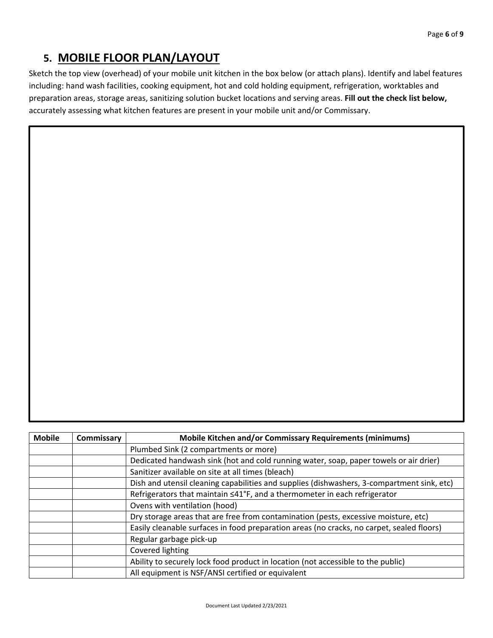## **5. MOBILE FLOOR PLAN/LAYOUT**

Sketch the top view (overhead) of your mobile unit kitchen in the box below (or attach plans). Identify and label features including: hand wash facilities, cooking equipment, hot and cold holding equipment, refrigeration, worktables and preparation areas, storage areas, sanitizing solution bucket locations and serving areas. **Fill out the check list below,**  accurately assessing what kitchen features are present in your mobile unit and/or Commissary.

| <b>Mobile</b> | Commissary | <b>Mobile Kitchen and/or Commissary Requirements (minimums)</b>                            |  |
|---------------|------------|--------------------------------------------------------------------------------------------|--|
|               |            | Plumbed Sink (2 compartments or more)                                                      |  |
|               |            | Dedicated handwash sink (hot and cold running water, soap, paper towels or air drier)      |  |
|               |            | Sanitizer available on site at all times (bleach)                                          |  |
|               |            | Dish and utensil cleaning capabilities and supplies (dishwashers, 3-compartment sink, etc) |  |
|               |            | Refrigerators that maintain ≤41°F, and a thermometer in each refrigerator                  |  |
|               |            | Ovens with ventilation (hood)                                                              |  |
|               |            | Dry storage areas that are free from contamination (pests, excessive moisture, etc)        |  |
|               |            | Easily cleanable surfaces in food preparation areas (no cracks, no carpet, sealed floors)  |  |
|               |            | Regular garbage pick-up                                                                    |  |
|               |            | Covered lighting                                                                           |  |
|               |            | Ability to securely lock food product in location (not accessible to the public)           |  |
|               |            | All equipment is NSF/ANSI certified or equivalent                                          |  |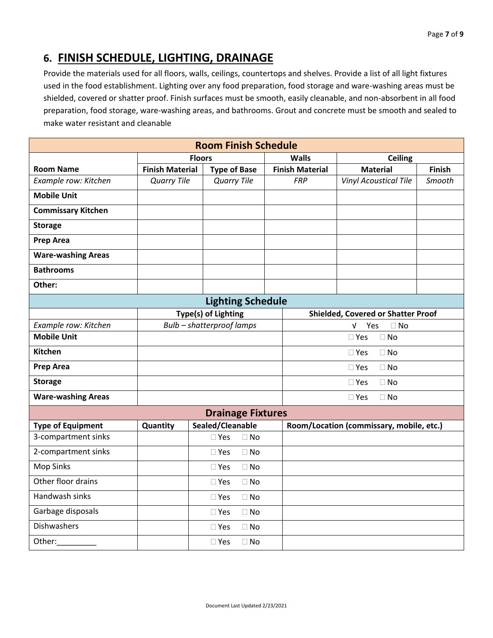## **6. FINISH SCHEDULE, LIGHTING, DRAINAGE**

Provide the materials used for all floors, walls, ceilings, countertops and shelves. Provide a list of all light fixtures used in the food establishment. Lighting over any food preparation, food storage and ware-washing areas must be shielded, covered or shatter proof. Finish surfaces must be smooth, easily cleanable, and non-absorbent in all food preparation, food storage, ware-washing areas, and bathrooms. Grout and concrete must be smooth and sealed to make water resistant and cleanable

| <b>Room Finish Schedule</b> |                        |                            |                        |                                           |               |  |
|-----------------------------|------------------------|----------------------------|------------------------|-------------------------------------------|---------------|--|
|                             | <b>Floors</b>          |                            | <b>Walls</b>           | <b>Ceiling</b>                            |               |  |
| <b>Room Name</b>            | <b>Finish Material</b> | <b>Type of Base</b>        | <b>Finish Material</b> | <b>Material</b>                           | <b>Finish</b> |  |
| Example row: Kitchen        | <b>Quarry Tile</b>     | <b>Quarry Tile</b>         | <b>FRP</b>             | <b>Vinyl Acoustical Tile</b>              | Smooth        |  |
| <b>Mobile Unit</b>          |                        |                            |                        |                                           |               |  |
| <b>Commissary Kitchen</b>   |                        |                            |                        |                                           |               |  |
| <b>Storage</b>              |                        |                            |                        |                                           |               |  |
| <b>Prep Area</b>            |                        |                            |                        |                                           |               |  |
| <b>Ware-washing Areas</b>   |                        |                            |                        |                                           |               |  |
| <b>Bathrooms</b>            |                        |                            |                        |                                           |               |  |
| Other:                      |                        |                            |                        |                                           |               |  |
|                             |                        | <b>Lighting Schedule</b>   |                        |                                           |               |  |
|                             |                        | Type(s) of Lighting        |                        | <b>Shielded, Covered or Shatter Proof</b> |               |  |
| Example row: Kitchen        |                        | Bulb - shatterproof lamps  |                        | Yes<br>$\sqrt{ }$<br>$\Box$ No            |               |  |
| <b>Mobile Unit</b>          |                        |                            |                        | $\Box$ No<br>$\square$ Yes                |               |  |
| <b>Kitchen</b>              |                        |                            |                        | $\Box$ Yes<br>$\Box$ No                   |               |  |
| <b>Prep Area</b>            |                        |                            |                        | $\Box$ Yes<br>$\Box$ No                   |               |  |
| <b>Storage</b>              |                        |                            |                        | $\Box$ No<br>$\square$ Yes                |               |  |
| <b>Ware-washing Areas</b>   |                        |                            |                        | $\Box$ No<br>$\square$ Yes                |               |  |
|                             |                        | <b>Drainage Fixtures</b>   |                        |                                           |               |  |
| <b>Type of Equipment</b>    | Quantity               | Sealed/Cleanable           |                        | Room/Location (commissary, mobile, etc.)  |               |  |
| 3-compartment sinks         |                        | $\square$ Yes<br>$\Box$ No |                        |                                           |               |  |
| 2-compartment sinks         |                        | $\Box$ No<br>$\Box$ Yes    |                        |                                           |               |  |
| <b>Mop Sinks</b>            |                        | $\square$ Yes<br>$\Box$ No |                        |                                           |               |  |
| Other floor drains          |                        | $\square$ Yes<br>$\Box$ No |                        |                                           |               |  |
| Handwash sinks              |                        | $\Box$ No<br>$\Box$ Yes    |                        |                                           |               |  |
| Garbage disposals           |                        | $\square$ Yes<br>$\Box$ No |                        |                                           |               |  |
| Dishwashers                 |                        | $\square$ Yes<br>$\Box$ No |                        |                                           |               |  |
| Other:                      |                        | $\Box$ No<br>$\square$ Yes |                        |                                           |               |  |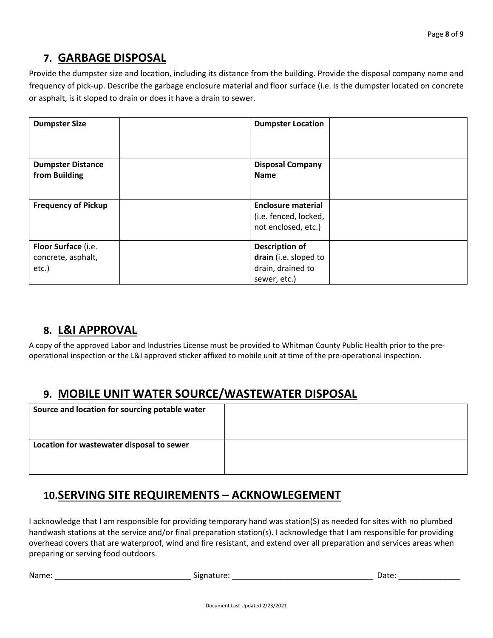## **7. GARBAGE DISPOSAL**

Provide the dumpster size and location, including its distance from the building. Provide the disposal company name and frequency of pick-up. Describe the garbage enclosure material and floor surface (i.e. is the dumpster located on concrete or asphalt, is it sloped to drain or does it have a drain to sewer.

| <b>Dumpster Size</b>       | <b>Dumpster Location</b>  |  |
|----------------------------|---------------------------|--|
|                            |                           |  |
| <b>Dumpster Distance</b>   | <b>Disposal Company</b>   |  |
| from Building              | <b>Name</b>               |  |
|                            |                           |  |
| <b>Frequency of Pickup</b> | <b>Enclosure material</b> |  |
|                            | (i.e. fenced, locked,     |  |
|                            | not enclosed, etc.)       |  |
| Floor Surface (i.e.        | <b>Description of</b>     |  |
| concrete, asphalt,         | drain (i.e. sloped to     |  |
| etc.)                      | drain, drained to         |  |
|                            | sewer, etc.)              |  |

## **8. L&I APPROVAL**

A copy of the approved Labor and Industries License must be provided to Whitman County Public Health prior to the preoperational inspection or the L&I approved sticker affixed to mobile unit at time of the pre-operational inspection.

## **9. MOBILE UNIT WATER SOURCE/WASTEWATER DISPOSAL**

| Source and location for sourcing potable water |  |
|------------------------------------------------|--|
| Location for wastewater disposal to sewer      |  |

## **10.SERVING SITE REQUIREMENTS – ACKNOWLEGEMENT**

I acknowledge that I am responsible for providing temporary hand was station(S) as needed for sites with no plumbed handwash stations at the service and/or final preparation station(s). I acknowledge that I am responsible for providing overhead covers that are waterproof, wind and fire resistant, and extend over all preparation and services areas when preparing or serving food outdoors.

Name: \_\_\_\_\_\_\_\_\_\_\_\_\_\_\_\_\_\_\_\_\_\_\_\_\_\_\_\_\_\_\_ Signature: \_\_\_\_\_\_\_\_\_\_\_\_\_\_\_\_\_\_\_\_\_\_\_\_\_\_\_\_\_\_\_\_ Date: \_\_\_\_\_\_\_\_\_\_\_\_\_\_